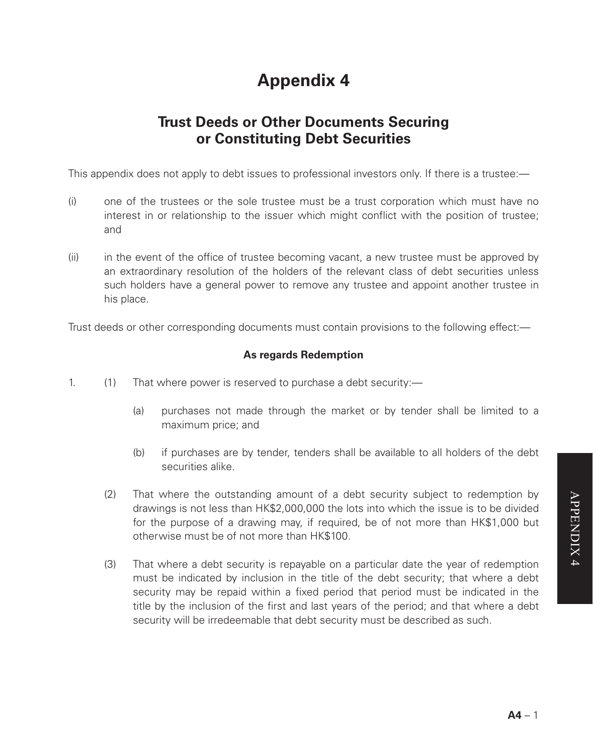# **Appendix 4**

# **Trust Deeds or Other Documents Securing or Constituting Debt Securities**

This appendix does not apply to debt issues to professional investors only. If there is a trustee:—

- (i) one of the trustees or the sole trustee must be a trust corporation which must have no interest in or relationship to the issuer which might conflict with the position of trustee; and
- (ii) in the event of the office of trustee becoming vacant, a new trustee must be approved by an extraordinary resolution of the holders of the relevant class of debt securities unless such holders have a general power to remove any trustee and appoint another trustee in his place.

Trust deeds or other corresponding documents must contain provisions to the following effect:—

## **As regards Redemption**

- 1. (1) That where power is reserved to purchase a debt security:—
	- (a) purchases not made through the market or by tender shall be limited to a maximum price; and
	- (b) if purchases are by tender, tenders shall be available to all holders of the debt securities alike.
	- (2) That where the outstanding amount of a debt security subject to redemption by drawings is not less than HK\$2,000,000 the lots into which the issue is to be divided for the purpose of a drawing may, if required, be of not more than HK\$1,000 but otherwise must be of not more than HK\$100.
	- (3) That where a debt security is repayable on a particular date the year of redemption must be indicated by inclusion in the title of the debt security; that where a debt security may be repaid within a fixed period that period must be indicated in the title by the inclusion of the first and last years of the period; and that where a debt security will be irredeemable that debt security must be described as such.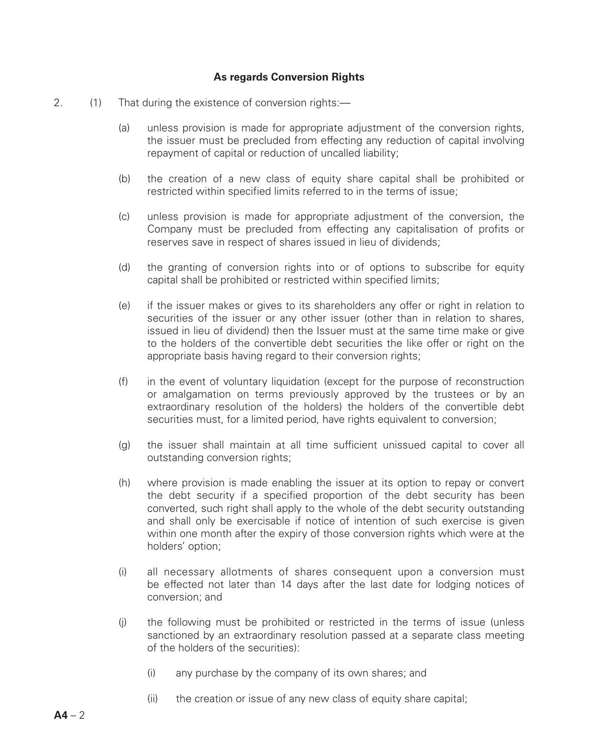# **As regards Conversion Rights**

- 2. (1) That during the existence of conversion rights:—
	- (a) unless provision is made for appropriate adjustment of the conversion rights the issuer must be precluded from effecting any reduction of capital involving repayment of capital or reduction of uncalled liability;
	- (b) the creation of a new class of equity share capital shall be prohibited or restricted within specified limits referred to in the terms of issue;
	- (c) unless provision is made for appropriate adjustment of the conversion, the Company must be precluded from effecting any capitalisation of profits or reserves save in respect of shares issued in lieu of dividends;
	- (d) the granting of conversion rights into or of options to subscribe for equity capital shall be prohibited or restricted within specified limits;
	- (e) if the issuer makes or gives to its shareholders any offer or right in relation to securities of the issuer or any other issuer (other than in relation to shares issued in lieu of dividend) then the Issuer must at the same time make or give to the holders of the convertible debt securities the like offer or right on the appropriate basis having regard to their conversion rights;
	- (f) in the event of voluntary liquidation (except for the purpose of reconstruction or amalgamation on terms previously approved by the trustees or by an extraordinary resolution of the holders) the holders of the convertible debt securities must, for a limited period, have rights equivalent to conversion;
	- (g) the issuer shall maintain at all time sufficient unissued capital to cover all outstanding conversion rights;
	- (h) where provision is made enabling the issuer at its option to repay or convert the debt security if a specified proportion of the debt security has been converted, such right shall apply to the whole of the debt security outstanding and shall only be exercisable if notice of intention of such exercise is given within one month after the expiry of those conversion rights which were at the holders' option;
	- (i) all necessary allotments of shares consequent upon a conversion must be effected not later than 14 days after the last date for lodging notices of conversion; and
	- (j) the following must be prohibited or restricted in the terms of issue (unless sanctioned by an extraordinary resolution passed at a separate class meeting of the holders of the securities):
		- (i) any purchase by the company of its own shares; and
		- (ii) the creation or issue of any new class of equity share capital: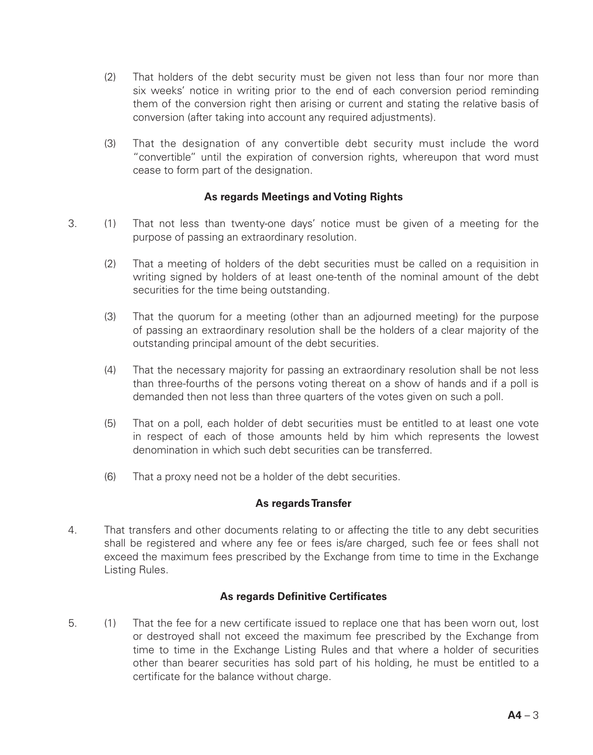- (2) That holders of the debt security must be given not less than four nor more than six weeks' notice in writing prior to the end of each conversion period reminding them of the conversion right then arising or current and stating the relative basis of conversion (after taking into account any required adjustments).
- (3) That the designation of any convertible debt security must include the word "convertible" until the expiration of conversion rights, whereupon that word must cease to form part of the designation.

# **As regards Meetings and Voting Rights**

- 3. (1) That not less than twenty-one days' notice must be given of a meeting for the purpose of passing an extraordinary resolution.
	- (2) That a meeting of holders of the debt securities must be called on a requisition in writing signed by holders of at least one-tenth of the nominal amount of the debt securities for the time being outstanding.
	- (3) That the quorum for a meeting (other than an adjourned meeting) for the purpose of passing an extraordinary resolution shall be the holders of a clear majority of the outstanding principal amount of the debt securities.
	- (4) That the necessary majority for passing an extraordinary resolution shall be not less than three-fourths of the persons voting thereat on a show of hands and if a poll is demanded then not less than three quarters of the votes given on such a poll.
	- (5) That on a poll, each holder of debt securities must be entitled to at least one vote in respect of each of those amounts held by him which represents the lowest denomination in which such debt securities can be transferred.
	- (6) That a proxy need not be a holder of the debt securities.

## **As regards Transfer**

4. That transfers and other documents relating to or affecting the title to any debt securities shall be registered and where any fee or fees is/are charged, such fee or fees shall not exceed the maximum fees prescribed by the Exchange from time to time in the Exchange Listing Rules.

# **As regards Definitive Certificates**

5. (1) That the fee for a new certificate issued to replace one that has been worn out, lost or destroyed shall not exceed the maximum fee prescribed by the Exchange from time to time in the Exchange Listing Rules and that where a holder of securities other than bearer securities has sold part of his holding, he must be entitled to a certificate for the balance without charge.